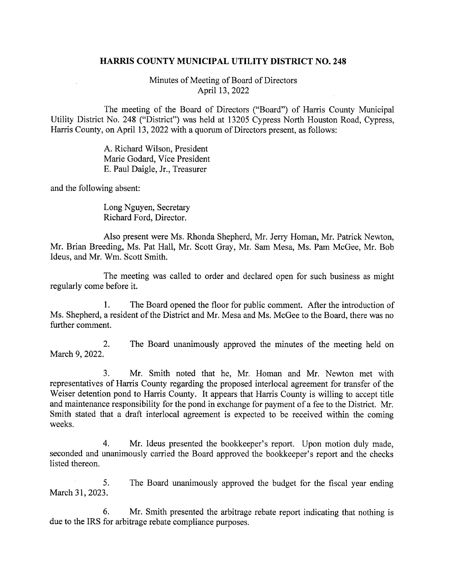## HARRIS COUNTY MUNICIPAL UTILITY DISTRICT NO. 248

Minutes of Meeting of Board of Directors April 13, 2022

The meeting of the Board of Directors ("Board") of Harris County Municipal Utility District No. 248 ("District") was held at 13205 Cypress North Houston Road, Cypress, Harris County, on April 13, 2022 with a quorum of Directors present, as follows:

> A. Richard Wilson, President Marie Godard, Vice President E. Paul Daigle, Jr., Treasurer

and the following absent:

Long Nguyen, Secretary Richard Ford, Director.

Also present were Ms. Rhonda Shepherd, Mr. Jerry Homan, Mr. Patrick Newton, Mr. Brian Breeding, Ms. Pat Hall, Mr. Scott Gray, Mr. Sam Mesa, Ms. Pam McGee, Mr. Bob Ideus, and Mr. Wm. Scott Smith.

The meeting was called to order and declared open for such business as might regularly come before it.

1. The Board opened the floor for public comment. After the introduction of Ms. Shepherd, a resident of the District and Mr. Mesa and Ms. McGee to the Board, there was no further comment.

2. The Board unanimously approved the minutes of the meeting held on March 9, 2022.

3. Mr. Smith noted that he, Mr. Homan and Mr. Newton met with representatives of Harris County regarding the proposed interlocal agreement for transfer of the Weiser detention pond to Harris County. It appears that Harris County is willing to accept title and maintenance responsibility for the pond in exchange for payment of a fee to the District. Mr. Smith stated that a draft interlocal agreement is expected to be received within the coming weeks.

4. Mr. Ideus presented the bookkeeper's report. Upon motion duly made, seconded and unanimously carried the Board approved the bookkeeper's report and the checks listed thereon.

5. The Board unanimously approved the budget for the fiscal year ending March 31,2023.

6. Mr. Smith presented the arbitrage rebate report indicating that nothing is due to the IRS for arbitrage rebate compliance purposes.